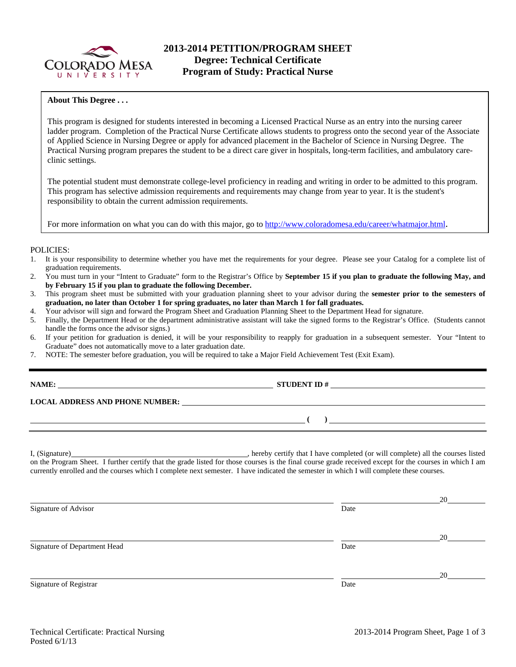

### **About This Degree . . .**

This program is designed for students interested in becoming a Licensed Practical Nurse as an entry into the nursing career ladder program. Completion of the Practical Nurse Certificate allows students to progress onto the second year of the Associate of Applied Science in Nursing Degree or apply for advanced placement in the Bachelor of Science in Nursing Degree. The Practical Nursing program prepares the student to be a direct care giver in hospitals, long-term facilities, and ambulatory careclinic settings.

The potential student must demonstrate college-level proficiency in reading and writing in order to be admitted to this program. This program has selective admission requirements and requirements may change from year to year. It is the student's responsibility to obtain the current admission requirements.

For more information on what you can do with this major, go to http://www.coloradomesa.edu/career/whatmajor.html.

#### POLICIES:

- 1. It is your responsibility to determine whether you have met the requirements for your degree. Please see your Catalog for a complete list of graduation requirements.
- 2. You must turn in your "Intent to Graduate" form to the Registrar's Office by **September 15 if you plan to graduate the following May, and by February 15 if you plan to graduate the following December.**
- 3. This program sheet must be submitted with your graduation planning sheet to your advisor during the **semester prior to the semesters of graduation, no later than October 1 for spring graduates, no later than March 1 for fall graduates.**
- 4. Your advisor will sign and forward the Program Sheet and Graduation Planning Sheet to the Department Head for signature.
- 5. Finally, the Department Head or the department administrative assistant will take the signed forms to the Registrar's Office. (Students cannot handle the forms once the advisor signs.)
- 6. If your petition for graduation is denied, it will be your responsibility to reapply for graduation in a subsequent semester. Your "Intent to Graduate" does not automatically move to a later graduation date.
- 7. NOTE: The semester before graduation, you will be required to take a Major Field Achievement Test (Exit Exam).

| <b>\AME:</b> |  |
|--------------|--|
|              |  |

#### **NAME: STUDENT ID #**

 **( )** 

#### **LOCAL ADDRESS AND PHONE NUMBER:**

I, (Signature) **Solution** , hereby certify that I have completed (or will complete) all the courses listed on the Program Sheet. I further certify that the grade listed for those courses is the final course grade received except for the courses in which I am currently enrolled and the courses which I complete next semester. I have indicated the semester in which I will complete these courses.

<u>20</u> Signature of Advisor Date <u>20</u> Signature of Department Head Date <u>20</u> Signature of Registrar Date and Separature of Registrar Date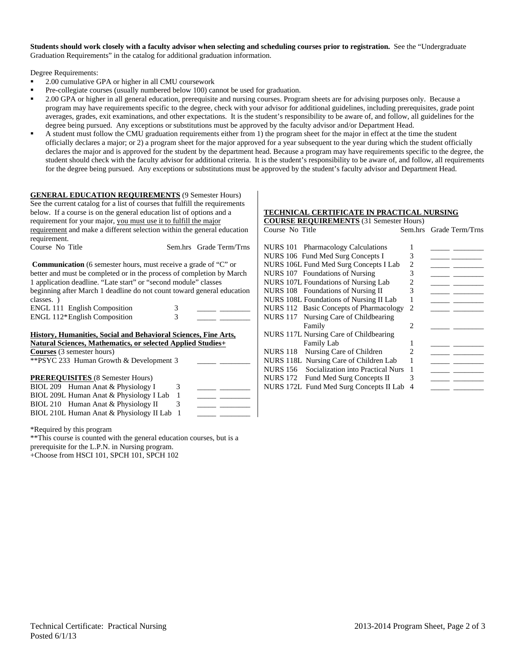**Students should work closely with a faculty advisor when selecting and scheduling courses prior to registration.** See the "Undergraduate Graduation Requirements" in the catalog for additional graduation information.

Degree Requirements:

- 2.00 cumulative GPA or higher in all CMU coursework
- Pre-collegiate courses (usually numbered below 100) cannot be used for graduation.
- 2.00 GPA or higher in all general education, prerequisite and nursing courses. Program sheets are for advising purposes only. Because a program may have requirements specific to the degree, check with your advisor for additional guidelines, including prerequisites, grade point averages, grades, exit examinations, and other expectations. It is the student's responsibility to be aware of, and follow, all guidelines for the degree being pursued. Any exceptions or substitutions must be approved by the faculty advisor and/or Department Head.
- A student must follow the CMU graduation requirements either from 1) the program sheet for the major in effect at the time the student officially declares a major; or 2) a program sheet for the major approved for a year subsequent to the year during which the student officially declares the major and is approved for the student by the department head. Because a program may have requirements specific to the degree, the student should check with the faculty advisor for additional criteria. It is the student's responsibility to be aware of, and follow, all requirements for the degree being pursued. Any exceptions or substitutions must be approved by the student's faculty advisor and Department Head.

| <b>GENERAL EDUCATION REQUIREMENTS (9 Semester Hours)</b>                    |              |                                                       |  |  |  |  |
|-----------------------------------------------------------------------------|--------------|-------------------------------------------------------|--|--|--|--|
| See the current catalog for a list of courses that fulfill the requirements |              |                                                       |  |  |  |  |
| below. If a course is on the general education list of options and a        |              |                                                       |  |  |  |  |
| requirement for your major, you must use it to fulfill the major            |              |                                                       |  |  |  |  |
| requirement and make a different selection within the general education     |              |                                                       |  |  |  |  |
| requirement.                                                                |              |                                                       |  |  |  |  |
| Course No Title                                                             |              | Sem.hrs Grade Term/Trns                               |  |  |  |  |
|                                                                             |              |                                                       |  |  |  |  |
| <b>Communication</b> (6 semester hours, must receive a grade of "C" or      |              |                                                       |  |  |  |  |
| better and must be completed or in the process of completion by March       |              |                                                       |  |  |  |  |
| 1 application deadline. "Late start" or "second module" classes             |              |                                                       |  |  |  |  |
| beginning after March 1 deadline do not count toward general education      |              |                                                       |  |  |  |  |
| classes.)                                                                   |              |                                                       |  |  |  |  |
| ENGL 111 English Composition                                                | 3            |                                                       |  |  |  |  |
| ENGL 112*English Composition                                                | 3            |                                                       |  |  |  |  |
|                                                                             |              |                                                       |  |  |  |  |
| <b>History, Humanities, Social and Behavioral Sciences, Fine Arts,</b>      |              |                                                       |  |  |  |  |
| <b>Natural Sciences, Mathematics, or selected Applied Studies+</b>          |              |                                                       |  |  |  |  |
| <b>Courses</b> (3 semester hours)                                           |              |                                                       |  |  |  |  |
| **PSYC 233 Human Growth & Development 3                                     |              |                                                       |  |  |  |  |
|                                                                             |              |                                                       |  |  |  |  |
| <b>PREREQUISITES</b> (8 Semester Hours)                                     |              |                                                       |  |  |  |  |
| BIOL 209 Human Anat & Physiology I                                          | 3            |                                                       |  |  |  |  |
| BIOL 209L Human Anat & Physiology I Lab                                     | 1            | $\overline{\phantom{a}}$ and $\overline{\phantom{a}}$ |  |  |  |  |
| BIOL 210 Human Anat & Physiology II                                         | 3            | <u> De Barbara (Barbara)</u>                          |  |  |  |  |
| BIOL 210L Human Anat & Physiology II Lab                                    | $\mathbf{1}$ |                                                       |  |  |  |  |
| *Required by this program                                                   |              |                                                       |  |  |  |  |
|                                                                             |              |                                                       |  |  |  |  |

\*\*This course is counted with the general education courses, but is a prerequisite for the L.P.N. in Nursing program. +Choose from HSCI 101, SPCH 101, SPCH 102

### **TECHNICAL CERTIFICATE IN PRACTICAL NURSING**

| <b>COURSE REQUIREMENTS</b> (31 Semester Hours) |                |                         |
|------------------------------------------------|----------------|-------------------------|
| Course No Title                                |                | Sem.hrs Grade Term/Trns |
|                                                |                |                         |
| NURS 101 Pharmacology Calculations             | 1              |                         |
| NURS 106 Fund Med Surg Concepts I              | 3              |                         |
| NURS 106L Fund Med Surg Concepts I Lab         | 2              |                         |
| NURS 107 Foundations of Nursing                | 3              |                         |
| NURS 107L Foundations of Nursing Lab           | 2              |                         |
| NURS 108 Foundations of Nursing II             | 3              |                         |
| NURS 108L Foundations of Nursing II Lab        |                |                         |
| NURS 112 Basic Concepts of Pharmacology        | $\mathfrak{D}$ |                         |
| NURS 117 Nursing Care of Childbearing          |                |                         |
| Family                                         | 2              |                         |
| NURS 117L Nursing Care of Childbearing         |                |                         |
| <b>Family Lab</b>                              | 1              |                         |
| Nursing Care of Children<br>NURS 118           | 2              |                         |
| NURS 118L Nursing Care of Children Lab         |                |                         |
| Socialization into Practical Nurs<br>NURS 156  | 1              |                         |
| NURS 172 Fund Med Surg Concepts II             | 3              |                         |
| NURS 172L Fund Med Surg Concepts II Lab        | 4              |                         |
|                                                |                |                         |